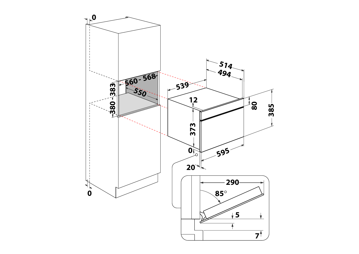